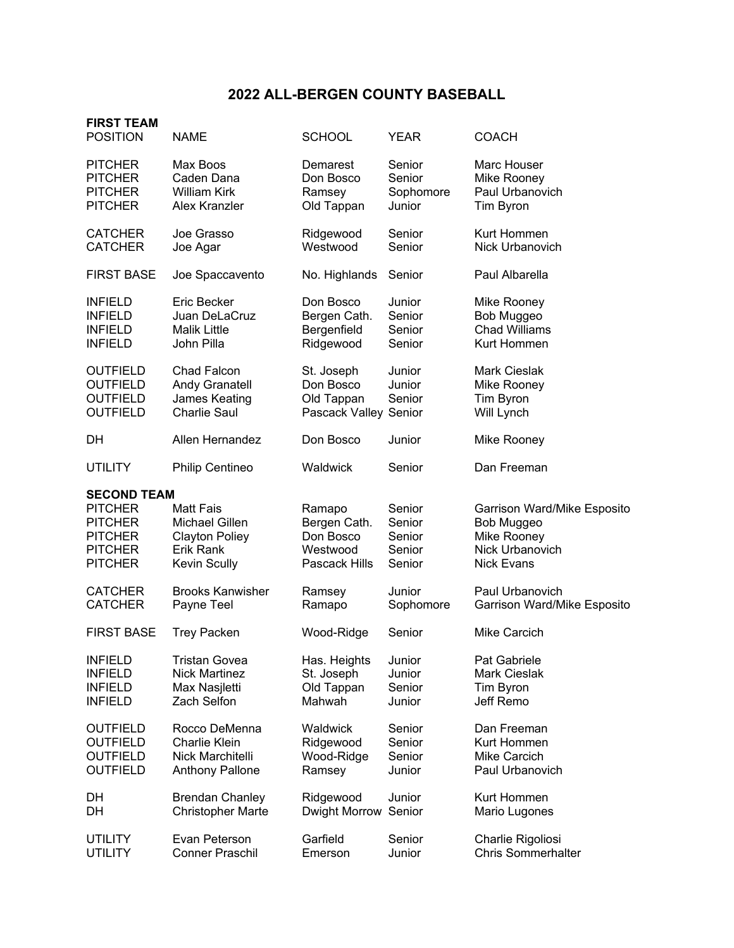## **2022 ALL-BERGEN COUNTY BASEBALL**

| <b>FIRST TEAM</b><br><b>POSITION</b>                                     | <b>NAME</b>                                                                         | <b>SCHOOL</b>                                                  | <b>YEAR</b>                | <b>COACH</b>                                                  |
|--------------------------------------------------------------------------|-------------------------------------------------------------------------------------|----------------------------------------------------------------|----------------------------|---------------------------------------------------------------|
| <b>PITCHER</b>                                                           | Max Boos                                                                            | Demarest                                                       | Senior                     | Marc Houser                                                   |
| <b>PITCHER</b>                                                           | Caden Dana                                                                          | Don Bosco                                                      | Senior                     | Mike Rooney                                                   |
| <b>PITCHER</b>                                                           | <b>William Kirk</b>                                                                 | Ramsey                                                         | Sophomore                  | Paul Urbanovich                                               |
| <b>PITCHER</b>                                                           | Alex Kranzler                                                                       | Old Tappan                                                     | Junior                     | Tim Byron                                                     |
| <b>CATCHER</b>                                                           | Joe Grasso                                                                          | Ridgewood                                                      | Senior                     | Kurt Hommen                                                   |
| <b>CATCHER</b>                                                           | Joe Agar                                                                            | Westwood                                                       | Senior                     | <b>Nick Urbanovich</b>                                        |
| <b>FIRST BASE</b>                                                        | Joe Spaccavento                                                                     | No. Highlands                                                  | Senior                     | Paul Albarella                                                |
| <b>INFIELD</b>                                                           | <b>Eric Becker</b>                                                                  | Don Bosco                                                      | Junior                     | Mike Rooney                                                   |
| <b>INFIELD</b>                                                           | Juan DeLaCruz                                                                       | Bergen Cath.                                                   | Senior                     | Bob Muggeo                                                    |
| <b>INFIELD</b>                                                           | <b>Malik Little</b>                                                                 | Bergenfield                                                    | Senior                     | <b>Chad Williams</b>                                          |
| <b>INFIELD</b>                                                           | John Pilla                                                                          | Ridgewood                                                      | Senior                     | Kurt Hommen                                                   |
| <b>OUTFIELD</b><br><b>OUTFIELD</b><br><b>OUTFIELD</b><br><b>OUTFIELD</b> | <b>Chad Falcon</b><br><b>Andy Granatell</b><br>James Keating<br><b>Charlie Saul</b> | St. Joseph<br>Don Bosco<br>Old Tappan<br>Pascack Valley Senior | Junior<br>Junior<br>Senior | <b>Mark Cieslak</b><br>Mike Rooney<br>Tim Byron<br>Will Lynch |
| DН                                                                       | Allen Hernandez                                                                     | Don Bosco                                                      | Junior                     | Mike Rooney                                                   |
| <b>UTILITY</b>                                                           | <b>Philip Centineo</b>                                                              | Waldwick                                                       | Senior                     | Dan Freeman                                                   |
| <b>SECOND TEAM</b>                                                       |                                                                                     |                                                                |                            |                                                               |
| <b>PITCHER</b>                                                           | <b>Matt Fais</b>                                                                    | Ramapo                                                         | Senior                     | Garrison Ward/Mike Esposito                                   |
| <b>PITCHER</b>                                                           | Michael Gillen                                                                      | Bergen Cath.                                                   | Senior                     | Bob Muggeo                                                    |
| <b>PITCHER</b>                                                           | <b>Clayton Poliey</b>                                                               | Don Bosco                                                      | Senior                     | Mike Rooney                                                   |
| <b>PITCHER</b>                                                           | Erik Rank                                                                           | Westwood                                                       | Senior                     | Nick Urbanovich                                               |
| <b>PITCHER</b>                                                           | <b>Kevin Scully</b>                                                                 | Pascack Hills                                                  | Senior                     | <b>Nick Evans</b>                                             |
| <b>CATCHER</b>                                                           | <b>Brooks Kanwisher</b>                                                             | Ramsey                                                         | Junior                     | Paul Urbanovich                                               |
| <b>CATCHER</b>                                                           | Payne Teel                                                                          | Ramapo                                                         | Sophomore                  | Garrison Ward/Mike Esposito                                   |
| <b>FIRST BASE</b>                                                        | <b>Trey Packen</b>                                                                  | Wood-Ridge                                                     | Senior                     | <b>Mike Carcich</b>                                           |
| <b>INFIELD</b>                                                           | Tristan Govea                                                                       | Has. Heights                                                   | Junior                     | Pat Gabriele                                                  |
| <b>INFIELD</b>                                                           | <b>Nick Martinez</b>                                                                | St. Joseph                                                     | Junior                     | <b>Mark Cieslak</b>                                           |
| <b>INFIELD</b>                                                           | Max Nasjletti                                                                       | Old Tappan                                                     | Senior                     | Tim Byron                                                     |
| <b>INFIELD</b>                                                           | Zach Selfon                                                                         | Mahwah                                                         | Junior                     | Jeff Remo                                                     |
| <b>OUTFIELD</b>                                                          | Rocco DeMenna                                                                       | Waldwick                                                       | Senior                     | Dan Freeman                                                   |
| <b>OUTFIELD</b>                                                          | <b>Charlie Klein</b>                                                                | Ridgewood                                                      | Senior                     | Kurt Hommen                                                   |
| <b>OUTFIELD</b>                                                          | Nick Marchitelli                                                                    | Wood-Ridge                                                     | Senior                     | Mike Carcich                                                  |
| <b>OUTFIELD</b>                                                          | <b>Anthony Pallone</b>                                                              | Ramsey                                                         | Junior                     | Paul Urbanovich                                               |
| DH                                                                       | <b>Brendan Chanley</b>                                                              | Ridgewood                                                      | Junior                     | Kurt Hommen                                                   |
| DH                                                                       | <b>Christopher Marte</b>                                                            | Dwight Morrow                                                  | Senior                     | Mario Lugones                                                 |
| UTILITY                                                                  | Evan Peterson                                                                       | Garfield                                                       | Senior                     | Charlie Rigoliosi                                             |
| <b>UTILITY</b>                                                           | <b>Conner Praschil</b>                                                              | Emerson                                                        | Junior                     | <b>Chris Sommerhalter</b>                                     |